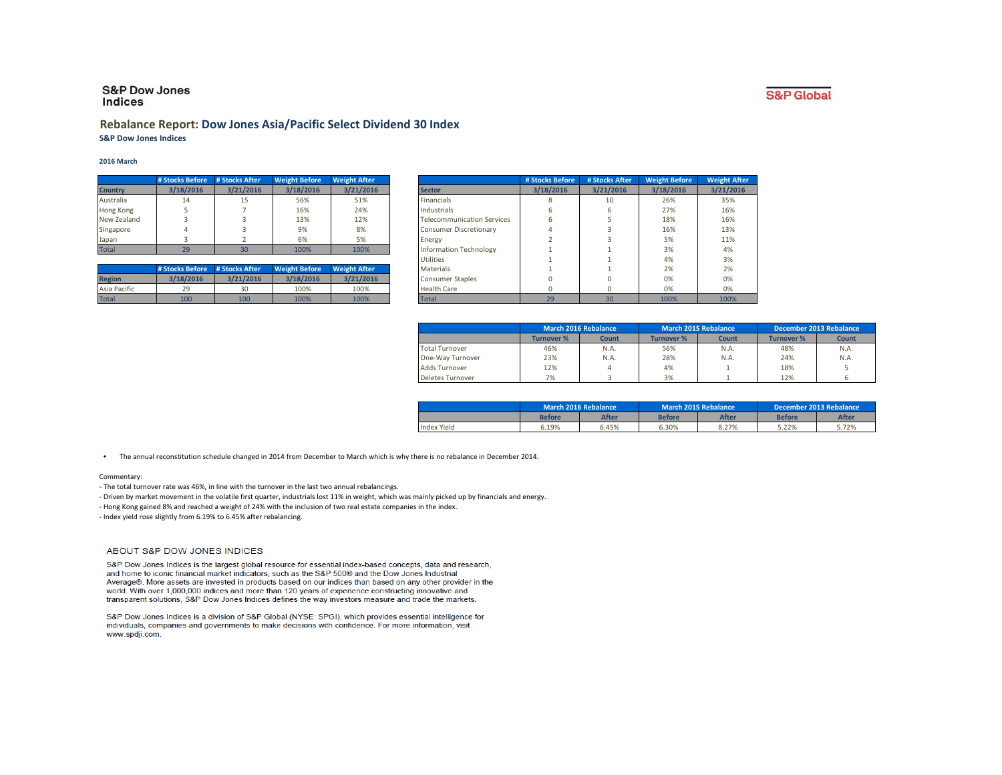## **S&P Dow Jones** Indices

## **Rebalance Report: Dow Jones Asia/Pacific Select Dividend 30 Index S&P Dow Jones Indices**

## **2016 March**

|                | # Stocks Before | # Stocks After | <b>Weight Before</b> | <b>Weight After</b> |
|----------------|-----------------|----------------|----------------------|---------------------|
| <b>Country</b> | 3/18/2016       | 3/21/2016      | 3/18/2016            | 3/21/2016           |
| Australia      | 14              | 15             | 56%                  | 51%                 |
| Hong Kong      |                 |                | 16%                  | 24%                 |
| New Zealand    |                 |                | 13%                  | 12%                 |
| Singapore      | Δ               |                | 9%                   | 8%                  |
| Japan          |                 |                | 6%                   | 5%                  |
| <b>Total</b>   | 29              |                | 100%                 | 100%                |

|               | # Stocks Before | # Stocks After | <b>Weight Before</b> | <b>Weight After</b> |
|---------------|-----------------|----------------|----------------------|---------------------|
| <b>Region</b> | 3/18/2016       | 3/21/2016      | 3/18/2016            | 3/21/2016           |
| Asia Pacific  | 29              | 30             | 100%                 | 100%                |
| <b>Total</b>  | 100             | 100            | 100%                 | 100%                |

|                | # Stocks Before | # Stocks After | <b>Weight Before</b> | <b>Weight After</b> |                                   | # Stocks Before | # Stocks After | <b>Weight Before</b> | <b>Weight After</b> |
|----------------|-----------------|----------------|----------------------|---------------------|-----------------------------------|-----------------|----------------|----------------------|---------------------|
| <b>Country</b> | 3/18/2016       | 3/21/2016      | 3/18/2016            | 3/21/2016           | <b>Sector</b>                     | 3/18/2016       | 3/21/2016      | 3/18/2016            | 3/21/2016           |
| Australia      | 14              | 15             | 56%                  | 51%                 | <b>Financials</b>                 |                 | 10             | 26%                  | 35%                 |
| Hong Kong      |                 |                | 16%                  | 24%                 | Industrials                       |                 |                | 27%                  | 16%                 |
| New Zealand    |                 |                | 13%                  | 12%                 | <b>Telecommunication Services</b> |                 |                | 18%                  | 16%                 |
| Singapore      |                 |                | 9%                   | 8%                  | <b>Consumer Discretionary</b>     |                 |                | 16%                  | 13%                 |
| Japan          |                 |                | 6%                   | 5%                  | Energy                            |                 |                | 5%                   | 11%                 |
| <b>Total</b>   | 29              | 30             | 100%                 | 100%                | <b>Information Technology</b>     |                 |                | 3%                   | 4%                  |
|                |                 |                |                      |                     | <b>Utilities</b>                  |                 |                | 4%                   | 3%                  |
|                | # Stocks Before | # Stocks After | <b>Weight Before</b> | <b>Weight After</b> | <b>Materials</b>                  |                 |                | 2%                   | 2%                  |
| <b>Region</b>  | 3/18/2016       | 3/21/2016      | 3/18/2016            | 3/21/2016           | <b>Consumer Staples</b>           |                 |                | 0%                   | 0%                  |
| Asia Pacific   | 29              | 30             | 100%                 | 100%                | <b>Health Care</b>                |                 |                | 0%                   | 0%                  |
| <b>Total</b>   | 100             | 100            | 100%                 | 100%                | <b>Total</b>                      | 29              | 30             | 100%                 | 100%                |

|                       | <b>March 2016 Rebalance</b> |       | <b>March 2015 Rebalance</b> |       | December 2013 Rebalance |       |
|-----------------------|-----------------------------|-------|-----------------------------|-------|-------------------------|-------|
|                       | Turnover %                  | Count | <b>Turnover %</b>           | Count | <b>Turnover %</b>       | Count |
| <b>Total Turnover</b> | 46%                         | N.A.  | 56%                         | N.A.  | 48%                     | N.A.  |
| One-Wav Turnover      | 23%                         | N.A.  | 28%                         | N.A.  | 24%                     | N.A.  |
| Adds Turnover         | 12%                         |       | 4%                          |       | 18%                     |       |
| Deletes Turnover      | 7%                          |       | 3%                          |       | 12%                     |       |

|             | March 2016 Rebalance |              | March 2015 Rebalance |              | December 2013 Rebalance |              |
|-------------|----------------------|--------------|----------------------|--------------|-------------------------|--------------|
|             | Before               | <b>After</b> | <b>Before</b>        | <b>After</b> | <b>Before</b>           | <b>After</b> |
| Index Yield | 6.19%                | 5.45%        | 5.30%                | 8.27%        | 5.22%                   | 5.72%        |

 **•** The annual reconstitution schedule changed in 2014 from December to March which is why there is no rebalance in December 2014.

#### Commentary:

- The total turnover rate was 46%, in line with the turnover in the last two annual rebalancings.

- Driven by market movement in the volatile first quarter, industrials lost 11% in weight, which was mainly picked up by financials and energy.
- Hong Kong gained 8% and reached a weight of 24% with the inclusion of two real estate companies in the index.

- Index yield rose slightly from 6.19% to 6.45% after rebalancing.

## ABOUT S&P DOW JONES INDICES

S&P Dow Jones Indices is the largest global resource for essential index-based concepts, data and research, and home to iconic financial market indicators, such as the S&P 500® and the Dow Jones Industrial Average®. More assets are invested in products based on our indices than based on any other provider in the world. With over 1,000,000 indices and more than 120 years of experience constructing innovative and transparent solutions, S&P Dow Jones Indices defines the way investors measure and trade the markets.

S&P Dow Jones Indices is a division of S&P Global (NYSE: SPGI), which provides essential intelligence for individuals, companies and governments to make decisions with confidence. For more information, visit www.spdji.com.

# **S&P** Global